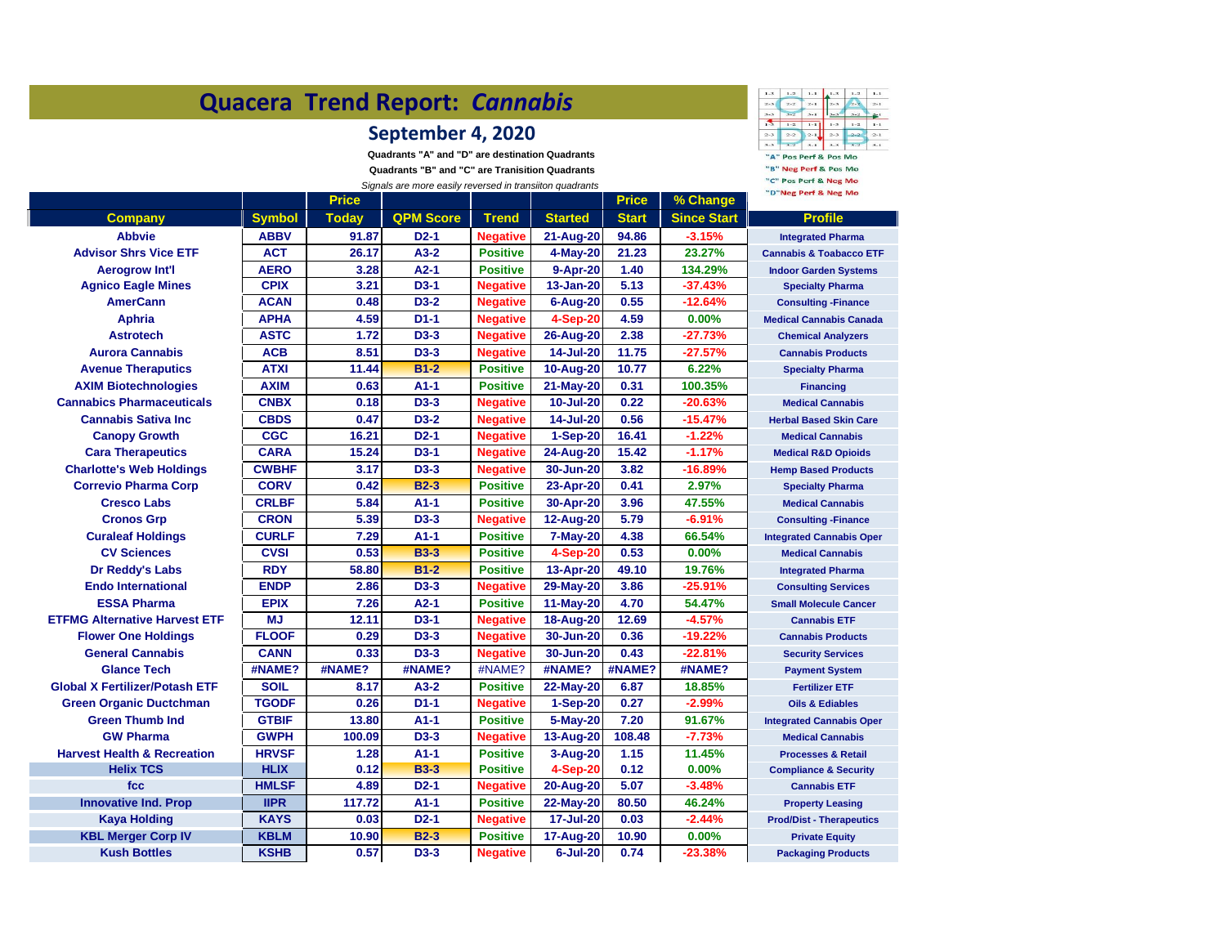| Quacera Trend Report: Cannabis         | $1 - 3$<br>$\mathbf{1}-\mathbf{1}$<br>$1 - 2$<br>$\mathbf{1}-\mathbf{1}$<br>$1 - 2$<br>$1 - 3$<br>$2 - 3$<br>$2 - 2$<br>$2 - 1$<br>$2 - 1$<br>$\overline{a}$<br>$3-3$<br>$3 - 1$<br>$3 - 2$                                  |              |                  |                 |                  |              |                    |                                    |
|----------------------------------------|------------------------------------------------------------------------------------------------------------------------------------------------------------------------------------------------------------------------------|--------------|------------------|-----------------|------------------|--------------|--------------------|------------------------------------|
|                                        | 需<br>$1 - 1$<br>$1 - 2$<br>$1 - 1$<br>$1 - 75$<br>$1 - 2$<br>$2 - 3$<br>$2 - 2$<br>$2 - 3$<br>$2 - 1$<br>$2 - 1$<br>$2 - 2$<br>$8 - 8$<br>$3 - 1$<br>"A" Pos Perf & Pos Mo<br>"B" Neg Perf & Pos Mo<br>"C" Pos Perf & Neg Mo |              |                  |                 |                  |              |                    |                                    |
|                                        | "D"Neg Perf & Neg Mo                                                                                                                                                                                                         |              |                  |                 |                  |              |                    |                                    |
|                                        |                                                                                                                                                                                                                              | <b>Price</b> |                  |                 |                  | <b>Price</b> | % Change           |                                    |
| Company                                | <b>Symbol</b>                                                                                                                                                                                                                | <b>Today</b> | <b>QPM Score</b> | <b>Trend</b>    | <b>Started</b>   | <b>Start</b> | <b>Since Start</b> | Profile                            |
| <b>Abbvie</b>                          | <b>ABBV</b>                                                                                                                                                                                                                  | 91.87        | $D2-1$           | <b>Negative</b> | 21-Aug-20        | 94.86        | $-3.15%$           | <b>Integrated Pharma</b>           |
| <b>Advisor Shrs Vice ETF</b>           | <b>ACT</b>                                                                                                                                                                                                                   | 26.17        | $A3-2$           | <b>Positive</b> | 4-May-20         | 21.23        | 23.27%             | <b>Cannabis &amp; Toabacco ETF</b> |
| <b>Aerogrow Int'l</b>                  | <b>AERO</b>                                                                                                                                                                                                                  | 3.28         | $A2-1$           | <b>Positive</b> | 9-Apr-20         | 1.40         | 134.29%            | <b>Indoor Garden Systems</b>       |
| <b>Agnico Eagle Mines</b>              | <b>CPIX</b>                                                                                                                                                                                                                  | 3.21         | $D3-1$           | <b>Negative</b> | 13-Jan-20        | 5.13         | $-37.43%$          | <b>Specialty Pharma</b>            |
| <b>AmerCann</b>                        | <b>ACAN</b>                                                                                                                                                                                                                  | 0.48         | $D3-2$           | <b>Negative</b> | 6-Aug-20         | 0.55         | $-12.64%$          | <b>Consulting -Finance</b>         |
| Aphria                                 | <b>APHA</b>                                                                                                                                                                                                                  | 4.59         | $D1-1$           | <b>Negative</b> | 4-Sep-20         | 4.59         | 0.00%              | <b>Medical Cannabis Canada</b>     |
| <b>Astrotech</b>                       | <b>ASTC</b>                                                                                                                                                                                                                  | 1.72         | D3-3             | <b>Negative</b> | 26-Aug-20        | 2.38         | $-27.73%$          | <b>Chemical Analyzers</b>          |
| <b>Aurora Cannabis</b>                 | <b>ACB</b>                                                                                                                                                                                                                   | 8.51         | $D3-3$           | <b>Negative</b> | 14-Jul-20        | 11.75        | $-27.57%$          | <b>Cannabis Products</b>           |
| <b>Avenue Theraputics</b>              | <b>ATXI</b>                                                                                                                                                                                                                  | 11.44        | $B1-2$           | <b>Positive</b> | 10-Aug-20        | 10.77        | 6.22%              | <b>Specialty Pharma</b>            |
| <b>AXIM Biotechnologies</b>            | <b>AXIM</b>                                                                                                                                                                                                                  | 0.63         | A1-1             | <b>Positive</b> | 21-May-20        | 0.31         | 100.35%            | <b>Financing</b>                   |
| <b>Cannabics Pharmaceuticals</b>       | <b>CNBX</b>                                                                                                                                                                                                                  | 0.18         | $D3-3$           | <b>Negative</b> | 10-Jul-20        | 0.22         | $-20.63%$          | <b>Medical Cannabis</b>            |
| <b>Cannabis Sativa Inc.</b>            | <b>CBDS</b>                                                                                                                                                                                                                  | 0.47         | $D3-2$           | <b>Negative</b> | 14-Jul-20        | 0.56         | $-15.47%$          | <b>Herbal Based Skin Care</b>      |
| <b>Canopy Growth</b>                   | <b>CGC</b>                                                                                                                                                                                                                   | 16.21        | $D2-1$           | <b>Negative</b> | 1-Sep-20         | 16.41        | $-1.22%$           | <b>Medical Cannabis</b>            |
| <b>Cara Therapeutics</b>               | <b>CARA</b>                                                                                                                                                                                                                  | 15.24        | D3-1             | <b>Negative</b> | 24-Aug-20        | 15.42        | $-1.17%$           | <b>Medical R&amp;D Opioids</b>     |
| <b>Charlotte's Web Holdings</b>        | <b>CWBHF</b>                                                                                                                                                                                                                 | 3.17         | $D3-3$           | <b>Negative</b> | 30-Jun-20        | 3.82         | $-16.89%$          | <b>Hemp Based Products</b>         |
| <b>Correvio Pharma Corp</b>            | <b>CORV</b>                                                                                                                                                                                                                  | 0.42         | <b>B2-3</b>      | <b>Positive</b> | 23-Apr-20        | 0.41         | 2.97%              | <b>Specialty Pharma</b>            |
| <b>Cresco Labs</b>                     | <b>CRLBF</b>                                                                                                                                                                                                                 | 5.84         | $A1-1$           | <b>Positive</b> | 30-Apr-20        | 3.96         | 47.55%             | <b>Medical Cannabis</b>            |
| <b>Cronos Grp</b>                      | <b>CRON</b>                                                                                                                                                                                                                  | 5.39         | D3-3             | <b>Negative</b> | 12-Aug-20        | 5.79         | $-6.91%$           | <b>Consulting - Finance</b>        |
| <b>Curaleaf Holdings</b>               | <b>CURLF</b>                                                                                                                                                                                                                 | 7.29         | $A1-1$           | <b>Positive</b> | <b>7-May-20</b>  | 4.38         | 66.54%             | <b>Integrated Cannabis Oper</b>    |
| <b>CV Sciences</b>                     | <b>CVSI</b>                                                                                                                                                                                                                  | 0.53         | <b>B3-3</b>      | <b>Positive</b> | 4-Sep-20         | 0.53         | 0.00%              | <b>Medical Cannabis</b>            |
| Dr Reddy's Labs                        | <b>RDY</b>                                                                                                                                                                                                                   | 58.80        | $B1-2$           | <b>Positive</b> | 13-Apr-20        | 49.10        | 19.76%             | <b>Integrated Pharma</b>           |
| <b>Endo International</b>              | <b>ENDP</b>                                                                                                                                                                                                                  | 2.86         | $D3-3$           | <b>Negative</b> | 29-May-20        | 3.86         | $-25.91%$          | <b>Consulting Services</b>         |
| <b>ESSA Pharma</b>                     | <b>EPIX</b>                                                                                                                                                                                                                  | 7.26         | $A2-1$           | <b>Positive</b> | 11-May-20        | 4.70         | 54.47%             | <b>Small Molecule Cancer</b>       |
| <b>ETFMG Alternative Harvest ETF</b>   | <b>MJ</b>                                                                                                                                                                                                                    | 12.11        | $D3-1$           | <b>Negative</b> | <b>18-Aug-20</b> | 12.69        | $-4.57%$           | <b>Cannabis ETF</b>                |
| <b>Flower One Holdings</b>             | <b>FLOOF</b>                                                                                                                                                                                                                 | 0.29         | D3-3             | <b>Negative</b> | 30-Jun-20        | 0.36         | $-19.22%$          | <b>Cannabis Products</b>           |
| <b>General Cannabis</b>                | <b>CANN</b>                                                                                                                                                                                                                  | 0.33         | $D3-3$           | <b>Negative</b> | 30-Jun-20        | 0.43         | $-22.81%$          | <b>Security Services</b>           |
| <b>Glance Tech</b>                     | #NAME?                                                                                                                                                                                                                       | #NAME?       | #NAME?           | #NAME?          | #NAME?           | #NAME?       | #NAME?             | <b>Payment System</b>              |
| <b>Global X Fertilizer/Potash ETF</b>  | <b>SOIL</b>                                                                                                                                                                                                                  | 8.17         | A3-2             | <b>Positive</b> | 22-May-20        | 6.87         | 18.85%             | <b>Fertilizer ETF</b>              |
| <b>Green Organic Ductchman</b>         | <b>TGODF</b>                                                                                                                                                                                                                 | 0.26         | $D1-1$           | <b>Negative</b> | $1-Sep-20$       | 0.27         | $-2.99%$           | <b>Oils &amp; Ediables</b>         |
| <b>Green Thumb Ind</b>                 | <b>GTBIF</b>                                                                                                                                                                                                                 | 13.80        | $A1-1$           | <b>Positive</b> |                  | 7.20         | 91.67%             |                                    |
| <b>GW Pharma</b>                       |                                                                                                                                                                                                                              |              |                  |                 | 5-May-20         |              |                    | <b>Integrated Cannabis Oper</b>    |
|                                        | <b>GWPH</b>                                                                                                                                                                                                                  | 100.09       | $D3-3$           | <b>Negative</b> | 13-Aug-20        | 108.48       | $-7.73%$           | <b>Medical Cannabis</b>            |
| <b>Harvest Health &amp; Recreation</b> | <b>HRVSF</b>                                                                                                                                                                                                                 | 1.28         | A1-1             | <b>Positive</b> | 3-Aug-20         | 1.15         | 11.45%             | <b>Processes &amp; Retail</b>      |
| <b>Helix TCS</b>                       | <b>HLIX</b>                                                                                                                                                                                                                  | 0.12         | <b>B3-3</b>      | <b>Positive</b> | 4-Sep-20         | 0.12         | 0.00%              | <b>Compliance &amp; Security</b>   |
| fcc                                    | <b>HMLSF</b>                                                                                                                                                                                                                 | 4.89         | $D2-1$           | <b>Negative</b> | 20-Aug-20        | 5.07         | $-3.48%$           | <b>Cannabis ETF</b>                |
| <b>Innovative Ind. Prop</b>            | <b>IIPR</b>                                                                                                                                                                                                                  | 117.72       | $A1-1$           | <b>Positive</b> | 22-May-20        | 80.50        | 46.24%             | <b>Property Leasing</b>            |
| <b>Kaya Holding</b>                    | <b>KAYS</b>                                                                                                                                                                                                                  | 0.03         | $D2-1$           | <b>Negative</b> | 17-Jul-20        | 0.03         | $-2.44%$           | <b>Prod/Dist - Therapeutics</b>    |
| <b>KBL Merger Corp IV</b>              | <b>KBLM</b>                                                                                                                                                                                                                  | 10.90        | $B2-3$           | <b>Positive</b> | 17-Aug-20        | 10.90        | 0.00%              | <b>Private Equity</b>              |
| <b>Kush Bottles</b>                    | <b>KSHB</b>                                                                                                                                                                                                                  | 0.57         | $D3-3$           | <b>Negative</b> | $6$ -Jul-20      | 0.74         | $-23.38%$          | <b>Packaging Products</b>          |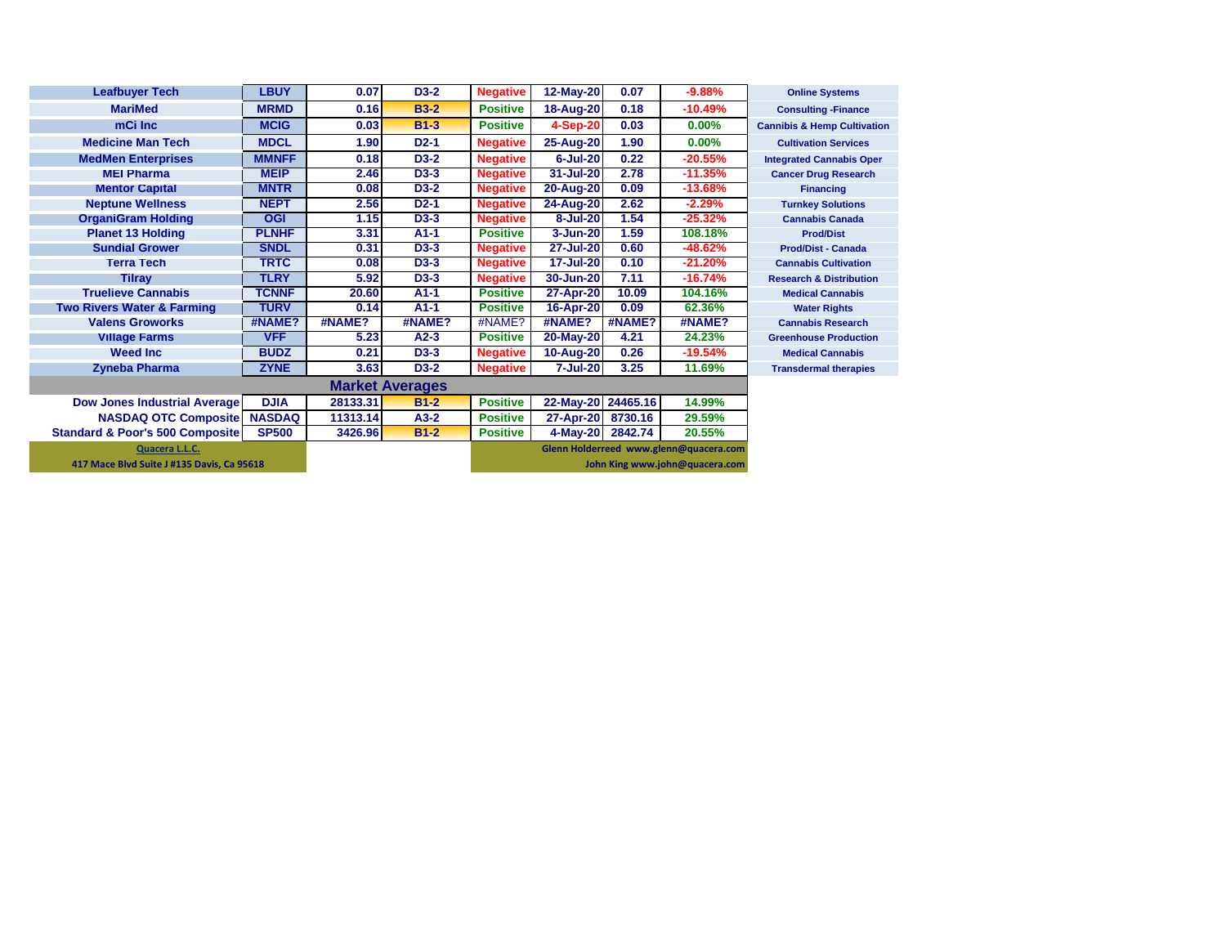| <b>Leafbuyer Tech</b>                      | <b>LBUY</b>   | 0.07     | $D3-2$      | <b>Negative</b> | 12-May-20          | 0.07    | $-9.88%$                               | <b>Online Systems</b>                  |
|--------------------------------------------|---------------|----------|-------------|-----------------|--------------------|---------|----------------------------------------|----------------------------------------|
| <b>MariMed</b>                             | <b>MRMD</b>   | 0.16     | <b>B3-2</b> | <b>Positive</b> | 18-Aug-20          | 0.18    | $-10.49%$                              | <b>Consulting - Finance</b>            |
| mCi Inc                                    | <b>MCIG</b>   | 0.03     | $B1-3$      | <b>Positive</b> | <b>4-Sep-20</b>    | 0.03    | 0.00%                                  | <b>Cannibis &amp; Hemp Cultivation</b> |
| <b>Medicine Man Tech</b>                   | <b>MDCL</b>   | 1.90     | $D2-1$      | <b>Negative</b> | 25-Aug-20          | 1.90    | $0.00\%$                               | <b>Cultivation Services</b>            |
| <b>MedMen Enterprises</b>                  | <b>MMNFF</b>  | 0.18     | $D3-2$      | <b>Negative</b> | $6 -$ Jul $-20$    | 0.22    | $-20.55%$                              | <b>Integrated Cannabis Oper</b>        |
| <b>MEI Pharma</b>                          | <b>MEIP</b>   | 2.46     | D3-3        | <b>Negative</b> | 31-Jul-20          | 2.78    | $-11.35%$                              | <b>Cancer Drug Research</b>            |
| <b>Mentor Capital</b>                      | <b>MNTR</b>   | 0.08     | $D3-2$      | <b>Negative</b> | 20-Aug-20          | 0.09    | $-13.68%$                              | <b>Financing</b>                       |
| <b>Neptune Wellness</b>                    | <b>NEPT</b>   | 2.56     | $D2-1$      | <b>Negative</b> | 24-Aug-20          | 2.62    | $-2.29%$                               | <b>Turnkey Solutions</b>               |
| <b>OrganiGram Holding</b>                  | <b>OGI</b>    | 1.15     | $D3-3$      | <b>Negative</b> | 8-Jul-20           | 1.54    | $-25.32%$                              | <b>Cannabis Canada</b>                 |
| <b>Planet 13 Holding</b>                   | <b>PLNHF</b>  | 3.31     | $A1-1$      | <b>Positive</b> | 3-Jun-20           | 1.59    | 108.18%                                | <b>Prod/Dist</b>                       |
| <b>Sundial Grower</b>                      | <b>SNDL</b>   | 0.31     | $D3-3$      | <b>Negative</b> | 27-Jul-20          | 0.60    | $-48.62%$                              | <b>Prod/Dist - Canada</b>              |
| <b>Terra Tech</b>                          | <b>TRTC</b>   | 0.08     | $D3-3$      | <b>Negative</b> | <b>17-Jul-20</b>   | 0.10    | $-21.20%$                              | <b>Cannabis Cultivation</b>            |
| <b>Tilray</b>                              | <b>TLRY</b>   | 5.92     | $D3-3$      | <b>Negative</b> | 30-Jun-20          | 7.11    | $-16.74%$                              | <b>Research &amp; Distribution</b>     |
| <b>Truelieve Cannabis</b>                  | <b>TCNNF</b>  | 20.60    | $A1-1$      | <b>Positive</b> | 27-Apr-20          | 10.09   | 104.16%                                | <b>Medical Cannabis</b>                |
| <b>Two Rivers Water &amp; Farming</b>      | <b>TURV</b>   | 0.14     | $A1-1$      | <b>Positive</b> | 16-Apr-20          | 0.09    | 62.36%                                 | <b>Water Rights</b>                    |
| <b>Valens Groworks</b>                     | #NAME?        | #NAME?   | #NAME?      | #NAME?          | #NAME?             | #NAME?  | #NAME?                                 | <b>Cannabis Research</b>               |
| <b>Village Farms</b>                       | <b>VFF</b>    | 5.23     | $A2-3$      | <b>Positive</b> | 20-May-20          | 4.21    | 24.23%                                 | <b>Greenhouse Production</b>           |
| <b>Weed Inc.</b>                           | <b>BUDZ</b>   | 0.21     | $D3-3$      | <b>Negative</b> | 10-Aug-20          | 0.26    | $-19.54%$                              | <b>Medical Cannabis</b>                |
| <b>Zyneba Pharma</b>                       | <b>ZYNE</b>   | 3.63     | $D3-2$      | <b>Negative</b> | 7-Jul-20           | 3.25    | 11.69%                                 | <b>Transdermal therapies</b>           |
|                                            |               |          |             |                 |                    |         |                                        |                                        |
| <b>Dow Jones Industrial Average</b>        | <b>DJIA</b>   | 28133.31 | $B1-2$      | <b>Positive</b> | 22-May-20 24465.16 |         | 14.99%                                 |                                        |
| <b>NASDAQ OTC Composite</b>                | <b>NASDAQ</b> | 11313.14 | $A3-2$      | <b>Positive</b> | 27-Apr-20          | 8730.16 | 29.59%                                 |                                        |
| <b>Standard &amp; Poor's 500 Composite</b> | <b>SP500</b>  | 3426.96  | $B1-2$      | <b>Positive</b> | $4$ -May-20        | 2842.74 | 20.55%                                 |                                        |
| Quacera L.L.C.                             |               |          |             |                 |                    |         | Glenn Holderreed www.glenn@quacera.com |                                        |
| 417 Mace Blvd Suite J #135 Davis, Ca 95618 |               |          |             |                 |                    |         | John King www.john@quacera.com         |                                        |
|                                            |               |          |             |                 |                    |         |                                        |                                        |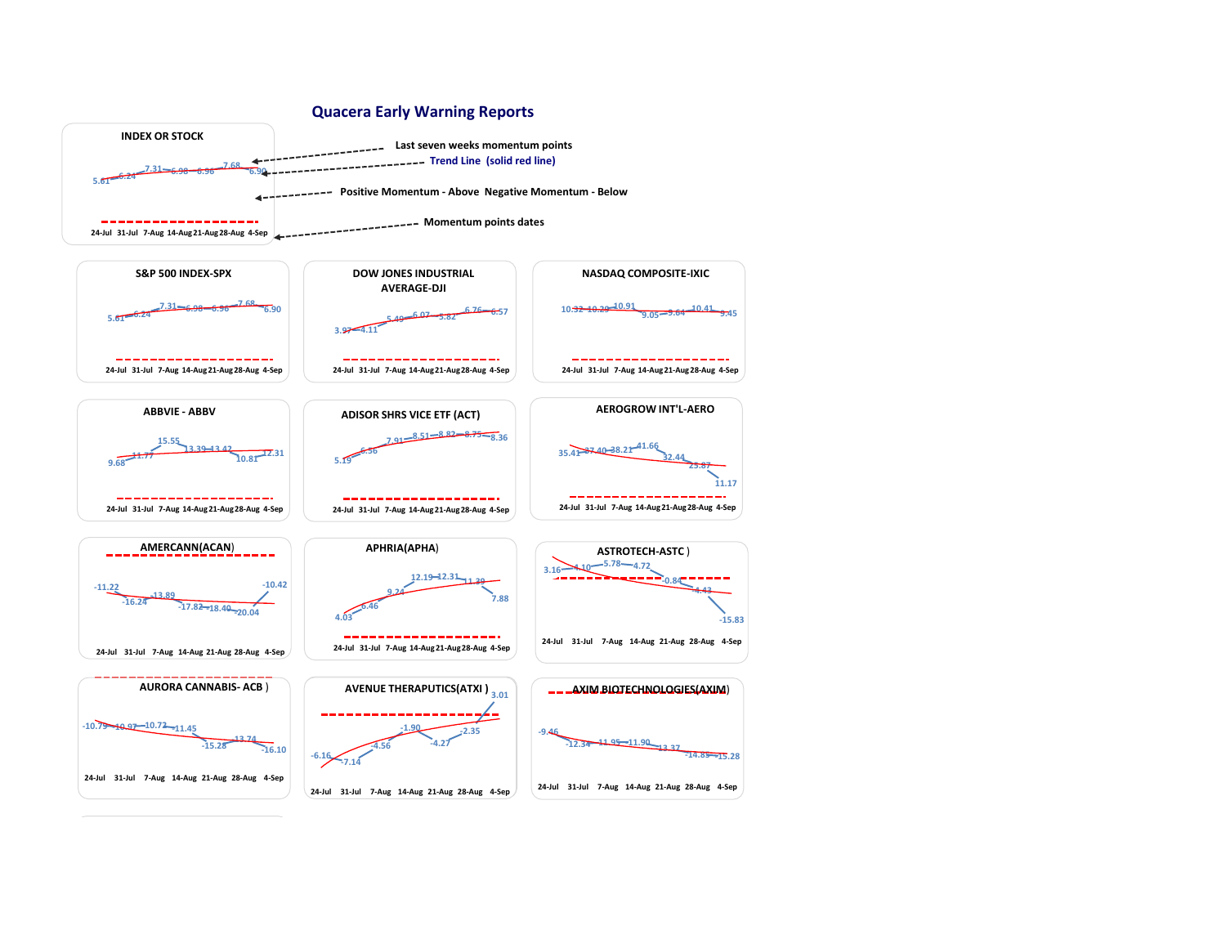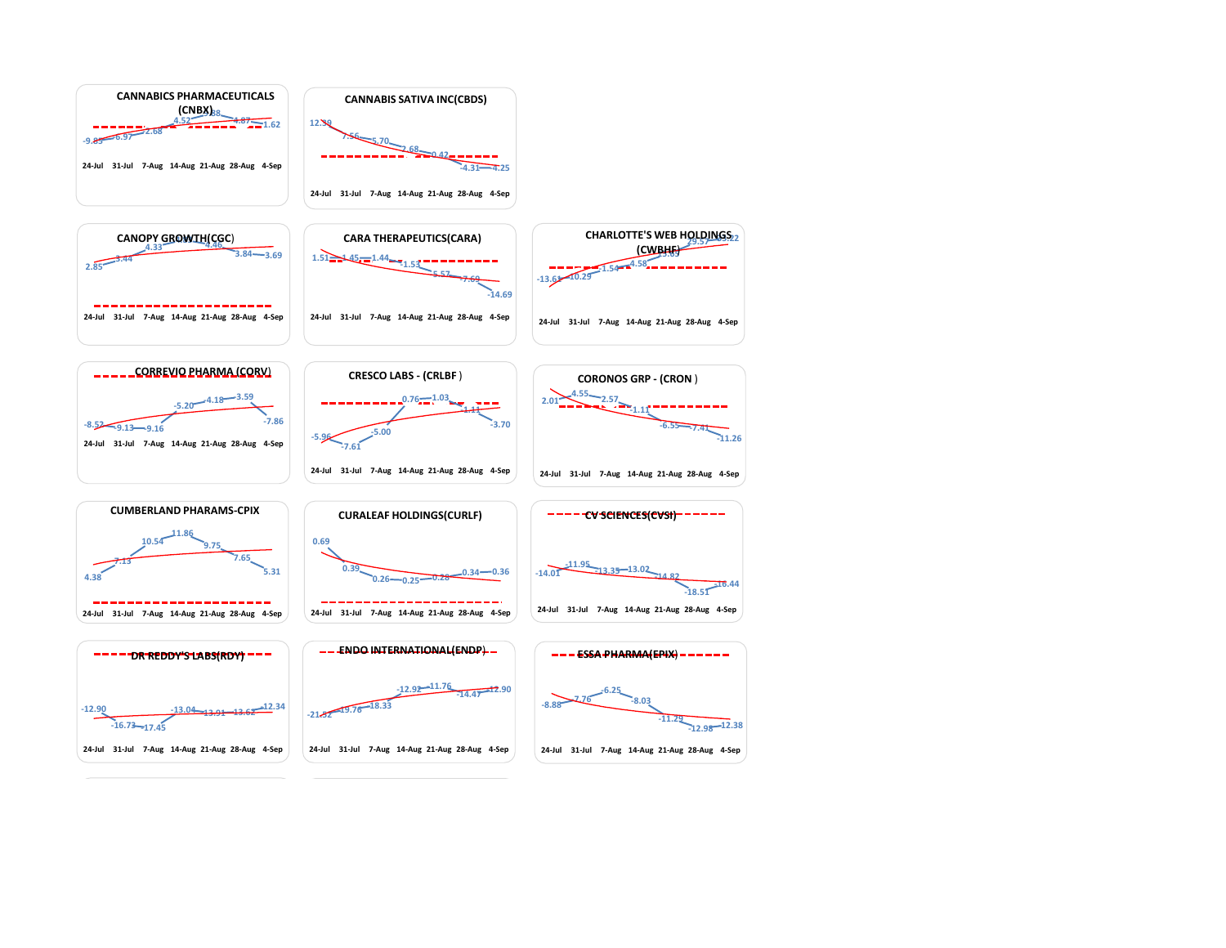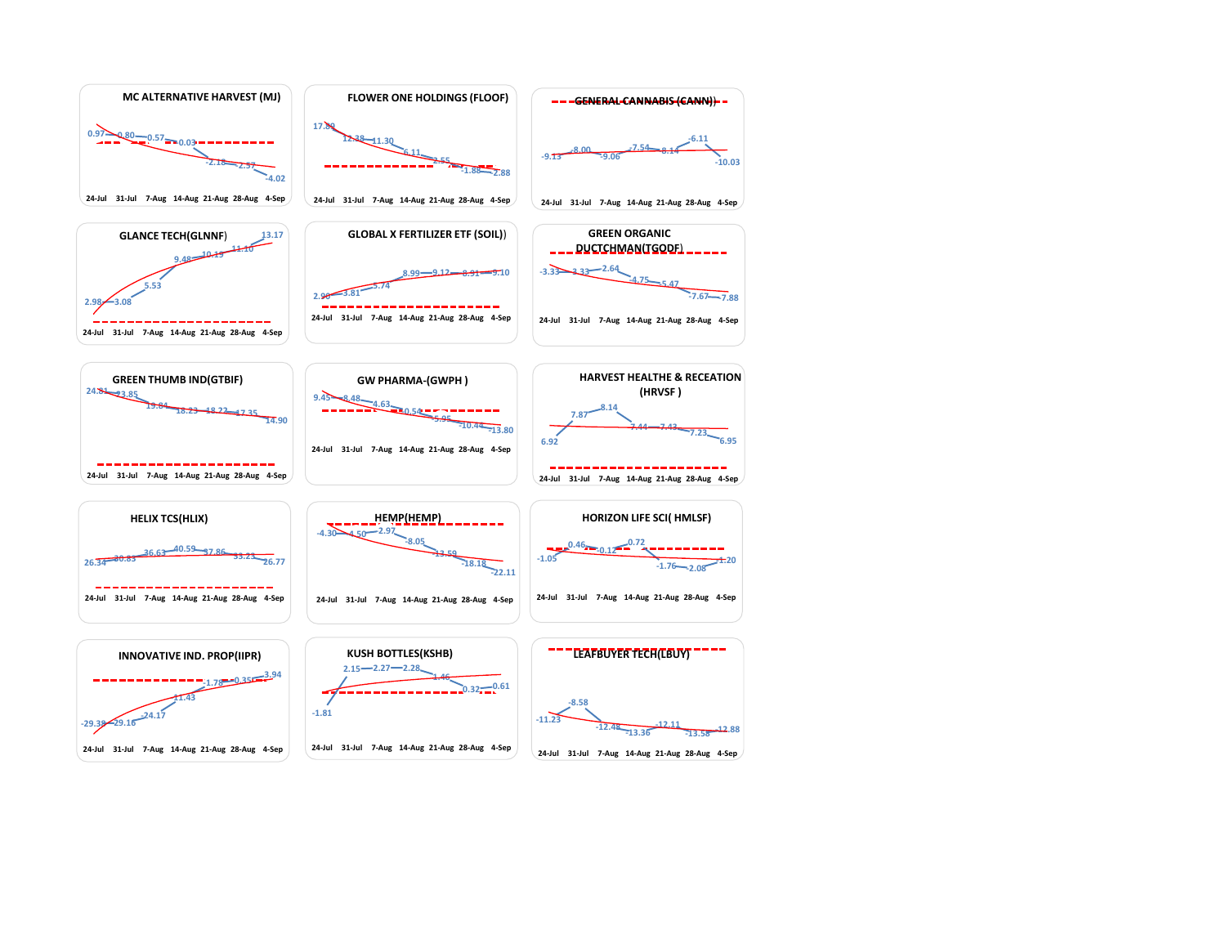